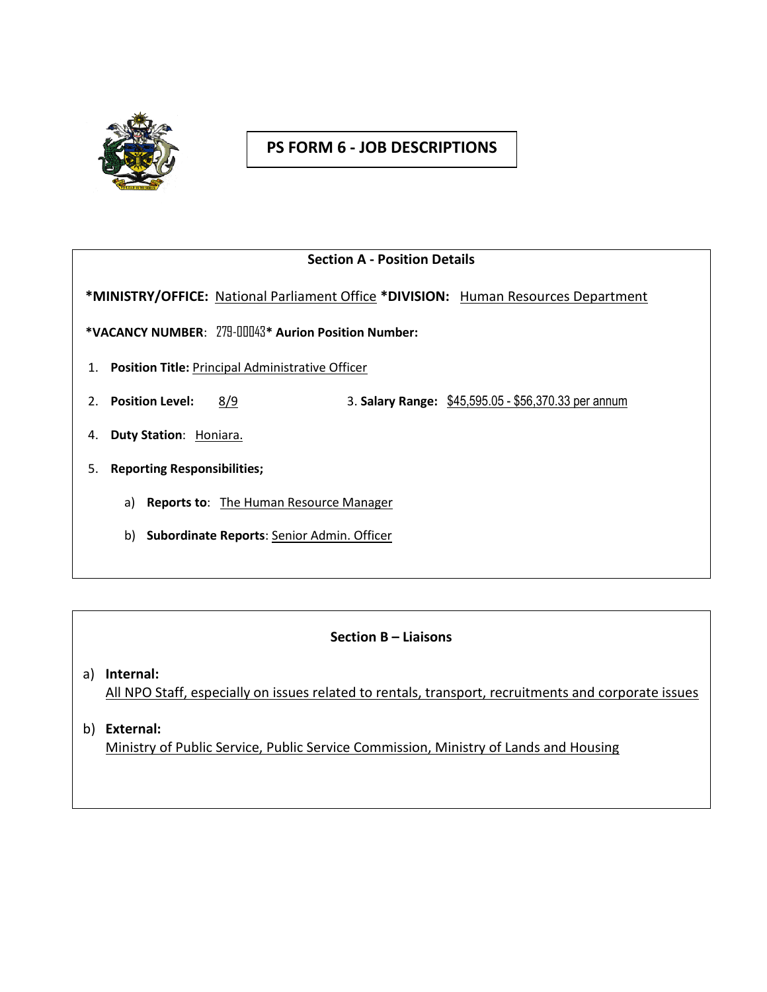

# **PS FORM 6 - JOB DESCRIPTIONS**

### **Section A - Position Details**

 **\*MINISTRY/OFFICE:** National Parliament Office **\*DIVISION:** Human Resources Department

**\*VACANCY NUMBER**: 279-00043**\* Aurion Position Number:**

- 1. **Position Title:** Principal Administrative Officer
- 2. **Position Level:** 8/9 3. **Salary Range:** \$45,595.05 \$56,370.33 per annum
- 4. **Duty Station**: Honiara.
- 5. **Reporting Responsibilities;**
	- a) **Reports to**: The Human Resource Manager
	- b) **Subordinate Reports**: Senior Admin. Officer

#### **Section B – Liaisons**

- a) **Internal:** All NPO Staff, especially on issues related to rentals, transport, recruitments and corporate issues
- b) **External:** Ministry of Public Service, Public Service Commission, Ministry of Lands and Housing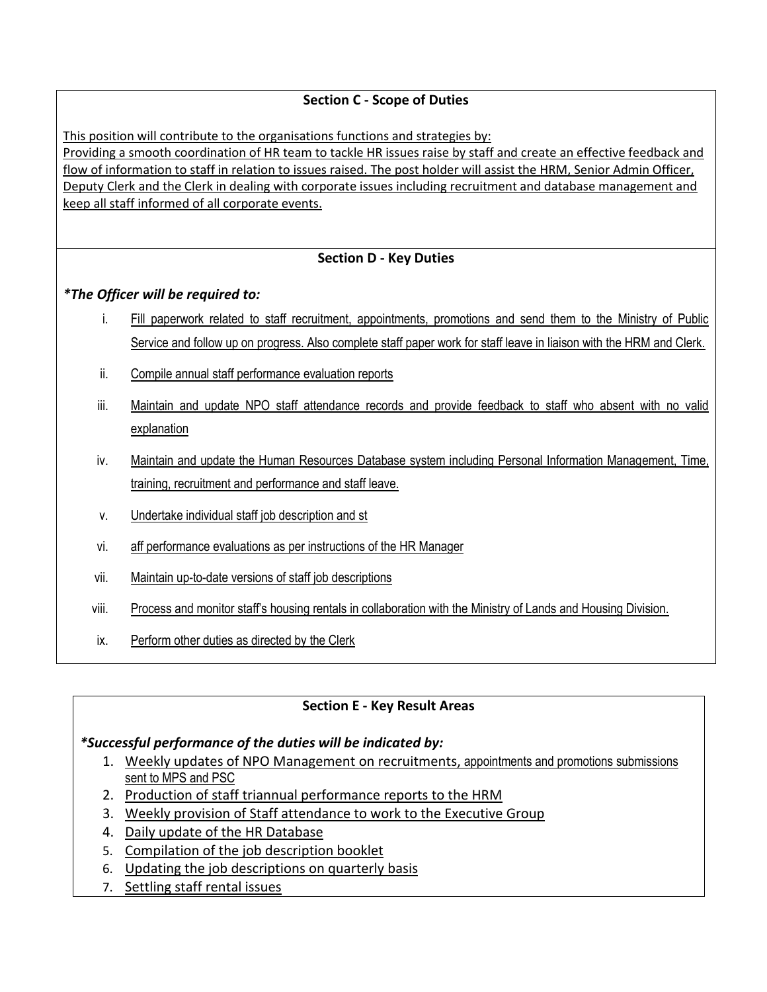# **Section C - Scope of Duties**

This position will contribute to the organisations functions and strategies by:

Providing a smooth coordination of HR team to tackle HR issues raise by staff and create an effective feedback and flow of information to staff in relation to issues raised. The post holder will assist the HRM, Senior Admin Officer, Deputy Clerk and the Clerk in dealing with corporate issues including recruitment and database management and keep all staff informed of all corporate events.

# **Section D - Key Duties**

### *\*The Officer will be required to:*

- i. Fill paperwork related to staff recruitment, appointments, promotions and send them to the Ministry of Public Service and follow up on progress. Also complete staff paper work for staff leave in liaison with the HRM and Clerk.
- ii. Compile annual staff performance evaluation reports
- iii. Maintain and update NPO staff attendance records and provide feedback to staff who absent with no valid explanation
- iv. Maintain and update the Human Resources Database system including Personal Information Management, Time, training, recruitment and performance and staff leave.
- v. Undertake individual staff job description and st
- vi. aff performance evaluations as per instructions of the HR Manager
- vii. Maintain up-to-date versions of staff job descriptions
- viii. Process and monitor staff's housing rentals in collaboration with the Ministry of Lands and Housing Division.
- ix. Perform other duties as directed by the Clerk

# **Section E - Key Result Areas**

### *\*Successful performance of the duties will be indicated by:*

- 1. Weekly updates of NPO Management on recruitments, appointments and promotions submissions sent to MPS and PSC
- 2. Production of staff triannual performance reports to the HRM
- 3. Weekly provision of Staff attendance to work to the Executive Group
- 4. Daily update of the HR Database
- 5. Compilation of the job description booklet
- 6. Updating the job descriptions on quarterly basis
- 7. Settling staff rental issues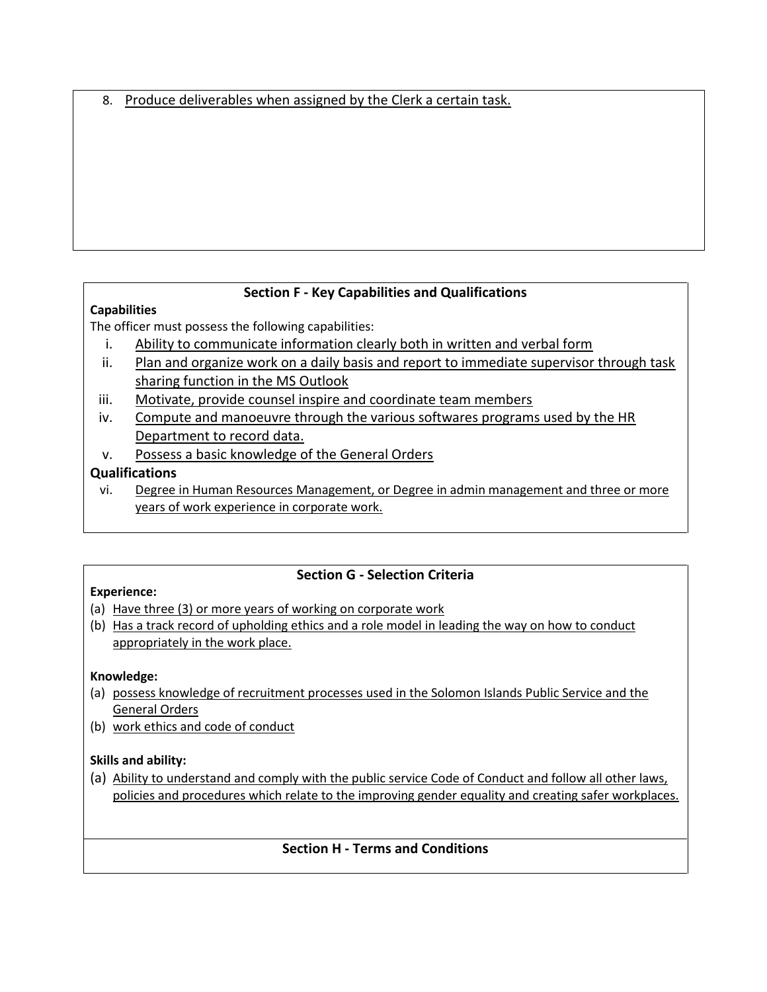8. Produce deliverables when assigned by the Clerk a certain task.

# **Section F - Key Capabilities and Qualifications**

# **Capabilities**

The officer must possess the following capabilities:

- i. Ability to communicate information clearly both in written and verbal form
- ii. Plan and organize work on a daily basis and report to immediate supervisor through task sharing function in the MS Outlook
- iii. Motivate, provide counsel inspire and coordinate team members
- iv. Compute and manoeuvre through the various softwares programs used by the HR Department to record data.
- v. Possess a basic knowledge of the General Orders

# **Qualifications**

vi. Degree in Human Resources Management, or Degree in admin management and three or more years of work experience in corporate work.

# **Section G - Selection Criteria**

### **Experience:**

- (a) Have three (3) or more years of working on corporate work
- (b) Has a track record of upholding ethics and a role model in leading the way on how to conduct appropriately in the work place.

### **Knowledge:**

- (a) possess knowledge of recruitment processes used in the Solomon Islands Public Service and the General Orders
- (b) work ethics and code of conduct

### **Skills and ability:**

(a) Ability to understand and comply with the public service Code of Conduct and follow all other laws, policies and procedures which relate to the improving gender equality and creating safer workplaces.

### **Section H - Terms and Conditions**